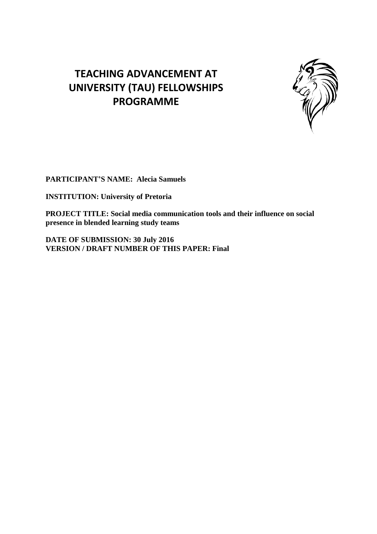# **TEACHING ADVANCEMENT AT UNIVERSITY (TAU) FELLOWSHIPS PROGRAMME**



**PARTICIPANT'S NAME: Alecia Samuels**

**INSTITUTION: University of Pretoria**

**PROJECT TITLE: Social media communication tools and their influence on social presence in blended learning study teams**

**DATE OF SUBMISSION: 30 July 2016 VERSION / DRAFT NUMBER OF THIS PAPER: Final**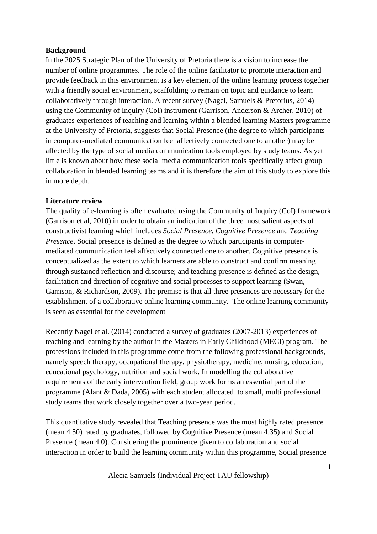## **Background**

In the 2025 Strategic Plan of the University of Pretoria there is a vision to increase the number of online programmes. The role of the online facilitator to promote interaction and provide feedback in this environment is a key element of the online learning process together with a friendly social environment, scaffolding to remain on topic and guidance to learn collaboratively through interaction. A recent survey (Nagel, Samuels & Pretorius, 2014) using the Community of Inquiry (CoI) instrument (Garrison, Anderson & Archer, 2010) of graduates experiences of teaching and learning within a blended learning Masters programme at the University of Pretoria, suggests that Social Presence (the degree to which participants in computer-mediated communication feel affectively connected one to another) may be affected by the type of social media communication tools employed by study teams. As yet little is known about how these social media communication tools specifically affect group collaboration in blended learning teams and it is therefore the aim of this study to explore this in more depth.

## **Literature review**

The quality of e-learning is often evaluated using the Community of Inquiry (CoI) framework (Garrison et al, 2010) in order to obtain an indication of the three most salient aspects of constructivist learning which includes *Social Presence*, *Cognitive Presence* and *Teaching Presence*. Social presence is defined as the degree to which participants in computermediated communication feel affectively connected one to another. Cognitive presence is conceptualized as the extent to which learners are able to construct and confirm meaning through sustained reflection and discourse; and teaching presence is defined as the design, facilitation and direction of cognitive and social processes to support learning (Swan, Garrison, & Richardson, 2009). The premise is that all three presences are necessary for the establishment of a collaborative online learning community. The online learning community is seen as essential for the development

Recently Nagel et al. (2014) conducted a survey of graduates (2007-2013) experiences of teaching and learning by the author in the Masters in Early Childhood (MECI) program. The professions included in this programme come from the following professional backgrounds, namely speech therapy, occupational therapy, physiotherapy, medicine, nursing, education, educational psychology, nutrition and social work. In modelling the collaborative requirements of the early intervention field, group work forms an essential part of the programme (Alant & Dada, 2005) with each student allocated to small, multi professional study teams that work closely together over a two-year period.

This quantitative study revealed that Teaching presence was the most highly rated presence (mean 4.50) rated by graduates, followed by Cognitive Presence (mean 4.35) and Social Presence (mean 4.0). Considering the prominence given to collaboration and social interaction in order to build the learning community within this programme, Social presence

Alecia Samuels (Individual Project TAU fellowship)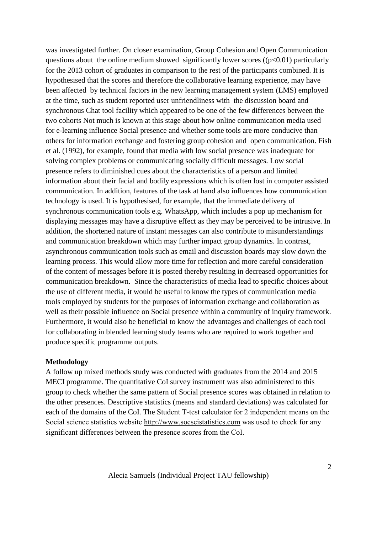was investigated further. On closer examination, Group Cohesion and Open Communication questions about the online medium showed significantly lower scores ( $(p<0.01)$ ) particularly for the 2013 cohort of graduates in comparison to the rest of the participants combined. It is hypothesised that the scores and therefore the collaborative learning experience, may have been affected by technical factors in the new learning management system (LMS) employed at the time, such as student reported user unfriendliness with the discussion board and synchronous Chat tool facility which appeared to be one of the few differences between the two cohorts Not much is known at this stage about how online communication media used for e-learning influence Social presence and whether some tools are more conducive than others for information exchange and fostering group cohesion and open communication. Fish et al. (1992), for example, found that media with low social presence was inadequate for solving complex problems or communicating socially difficult messages. Low social presence refers to diminished cues about the characteristics of a person and limited information about their facial and bodily expressions which is often lost in computer assisted communication. In addition, features of the task at hand also influences how communication technology is used. It is hypothesised, for example, that the immediate delivery of synchronous communication tools e.g. WhatsApp, which includes a pop up mechanism for displaying messages may have a disruptive effect as they may be perceived to be intrusive. In addition, the shortened nature of instant messages can also contribute to misunderstandings and communication breakdown which may further impact group dynamics. In contrast, asynchronous communication tools such as email and discussion boards may slow down the learning process. This would allow more time for reflection and more careful consideration of the content of messages before it is posted thereby resulting in decreased opportunities for communication breakdown. Since the characteristics of media lead to specific choices about the use of different media, it would be useful to know the types of communication media tools employed by students for the purposes of information exchange and collaboration as well as their possible influence on Social presence within a community of inquiry framework. Furthermore, it would also be beneficial to know the advantages and challenges of each tool for collaborating in blended learning study teams who are required to work together and produce specific programme outputs.

#### **Methodology**

A follow up mixed methods study was conducted with graduates from the 2014 and 2015 MECI programme. The quantitative CoI survey instrument was also administered to this group to check whether the same pattern of Social presence scores was obtained in relation to the other presences. Descriptive statistics (means and standard deviations) was calculated for each of the domains of the CoI. The Student T-test calculator for 2 independent means on the Social science statistics website [http://www.socscistatistics.com](http://www.socscistatistics.com/) was used to check for any significant differences between the presence scores from the CoI.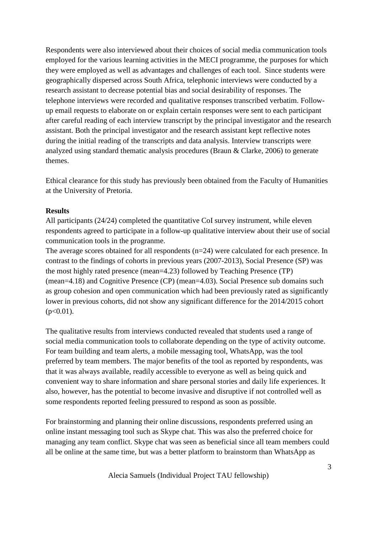Respondents were also interviewed about their choices of social media communication tools employed for the various learning activities in the MECI programme, the purposes for which they were employed as well as advantages and challenges of each tool. Since students were geographically dispersed across South Africa, telephonic interviews were conducted by a research assistant to decrease potential bias and social desirability of responses. The telephone interviews were recorded and qualitative responses transcribed verbatim. Followup email requests to elaborate on or explain certain responses were sent to each participant after careful reading of each interview transcript by the principal investigator and the research assistant. Both the principal investigator and the research assistant kept reflective notes during the initial reading of the transcripts and data analysis. Interview transcripts were analyzed using standard thematic analysis procedures (Braun & Clarke, 2006) to generate themes.

Ethical clearance for this study has previously been obtained from the Faculty of Humanities at the University of Pretoria.

## **Results**

All participants (24/24) completed the quantitative CoI survey instrument, while eleven respondents agreed to participate in a follow-up qualitative interview about their use of social communication tools in the progranme.

The average scores obtained for all respondents (n=24) were calculated for each presence. In contrast to the findings of cohorts in previous years (2007-2013), Social Presence (SP) was the most highly rated presence (mean=4.23) followed by Teaching Presence (TP) (mean=4.18) and Cognitive Presence (CP) (mean=4.03). Social Presence sub domains such as group cohesion and open communication which had been previously rated as significantly lower in previous cohorts, did not show any significant difference for the 2014/2015 cohort  $(p<0.01)$ .

The qualitative results from interviews conducted revealed that students used a range of social media communication tools to collaborate depending on the type of activity outcome. For team building and team alerts, a mobile messaging tool, WhatsApp, was the tool preferred by team members. The major benefits of the tool as reported by respondents, was that it was always available, readily accessible to everyone as well as being quick and convenient way to share information and share personal stories and daily life experiences. It also, however, has the potential to become invasive and disruptive if not controlled well as some respondents reported feeling pressured to respond as soon as possible.

For brainstorming and planning their online discussions, respondents preferred using an online instant messaging tool such as Skype chat. This was also the preferred choice for managing any team conflict. Skype chat was seen as beneficial since all team members could all be online at the same time, but was a better platform to brainstorm than WhatsApp as

Alecia Samuels (Individual Project TAU fellowship)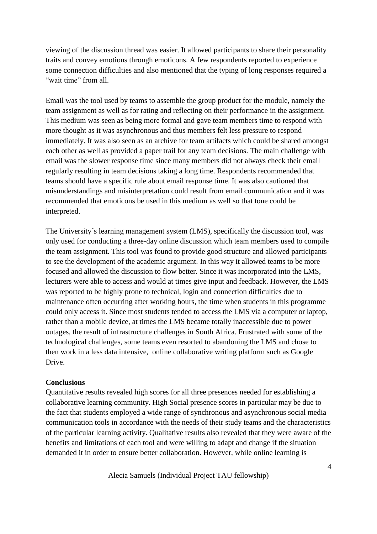viewing of the discussion thread was easier. It allowed participants to share their personality traits and convey emotions through emoticons. A few respondents reported to experience some connection difficulties and also mentioned that the typing of long responses required a "wait time" from all.

Email was the tool used by teams to assemble the group product for the module, namely the team assignment as well as for rating and reflecting on their performance in the assignment. This medium was seen as being more formal and gave team members time to respond with more thought as it was asynchronous and thus members felt less pressure to respond immediately. It was also seen as an archive for team artifacts which could be shared amongst each other as well as provided a paper trail for any team decisions. The main challenge with email was the slower response time since many members did not always check their email regularly resulting in team decisions taking a long time. Respondents recommended that teams should have a specific rule about email response time. It was also cautioned that misunderstandings and misinterpretation could result from email communication and it was recommended that emoticons be used in this medium as well so that tone could be interpreted.

The University´s learning management system (LMS), specifically the discussion tool, was only used for conducting a three-day online discussion which team members used to compile the team assignment. This tool was found to provide good structure and allowed participants to see the development of the academic argument. In this way it allowed teams to be more focused and allowed the discussion to flow better. Since it was incorporated into the LMS, lecturers were able to access and would at times give input and feedback. However, the LMS was reported to be highly prone to technical, login and connection difficulties due to maintenance often occurring after working hours, the time when students in this programme could only access it. Since most students tended to access the LMS via a computer or laptop, rather than a mobile device, at times the LMS became totally inaccessible due to power outages, the result of infrastructure challenges in South Africa. Frustrated with some of the technological challenges, some teams even resorted to abandoning the LMS and chose to then work in a less data intensive, online collaborative writing platform such as Google Drive.

#### **Conclusions**

Quantitative results revealed high scores for all three presences needed for establishing a collaborative learning community. High Social presence scores in particular may be due to the fact that students employed a wide range of synchronous and asynchronous social media communication tools in accordance with the needs of their study teams and the characteristics of the particular learning activity. Qualitative results also revealed that they were aware of the benefits and limitations of each tool and were willing to adapt and change if the situation demanded it in order to ensure better collaboration. However, while online learning is

Alecia Samuels (Individual Project TAU fellowship)